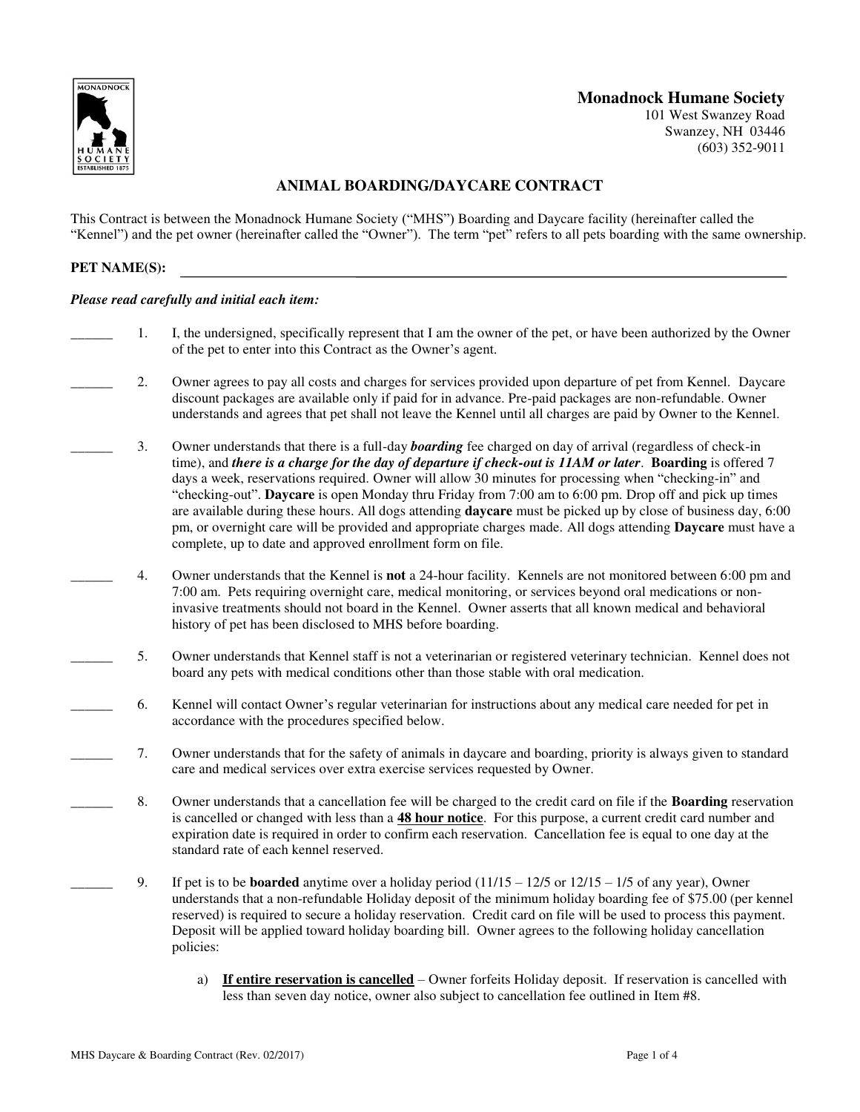

# **Monadnock Humane Society**

101 West Swanzey Road Swanzey, NH 03446 (603) 352-9011

# **ANIMAL BOARDING/DAYCARE CONTRACT**

This Contract is between the Monadnock Humane Society ("MHS") Boarding and Daycare facility (hereinafter called the "Kennel") and the pet owner (hereinafter called the "Owner"). The term "pet" refers to all pets boarding with the same ownership.

## **PET NAME(S):**

### *Please read carefully and initial each item:*

- \_\_\_\_\_\_ 1. I, the undersigned, specifically represent that I am the owner of the pet, or have been authorized by the Owner of the pet to enter into this Contract as the Owner's agent.
- \_\_\_\_\_\_ 2. Owner agrees to pay all costs and charges for services provided upon departure of pet from Kennel. Daycare discount packages are available only if paid for in advance. Pre-paid packages are non-refundable. Owner understands and agrees that pet shall not leave the Kennel until all charges are paid by Owner to the Kennel.
	- \_\_\_\_\_\_ 3. Owner understands that there is a full-day *boarding* fee charged on day of arrival (regardless of check-in time), and *there is a charge for the day of departure if check-out is 11AM or later*. **Boarding** is offered 7 days a week, reservations required. Owner will allow 30 minutes for processing when "checking-in" and "checking-out". **Daycare** is open Monday thru Friday from 7:00 am to 6:00 pm. Drop off and pick up times are available during these hours. All dogs attending **daycare** must be picked up by close of business day, 6:00 pm, or overnight care will be provided and appropriate charges made. All dogs attending **Daycare** must have a complete, up to date and approved enrollment form on file.
	- \_\_\_\_\_\_ 4. Owner understands that the Kennel is **not** a 24-hour facility. Kennels are not monitored between 6:00 pm and 7:00 am. Pets requiring overnight care, medical monitoring, or services beyond oral medications or noninvasive treatments should not board in the Kennel. Owner asserts that all known medical and behavioral history of pet has been disclosed to MHS before boarding.
	- \_\_\_\_\_\_ 5. Owner understands that Kennel staff is not a veterinarian or registered veterinary technician. Kennel does not board any pets with medical conditions other than those stable with oral medication.
	- \_\_\_\_\_\_ 6. Kennel will contact Owner's regular veterinarian for instructions about any medical care needed for pet in accordance with the procedures specified below.
- \_\_\_\_\_\_ 7. Owner understands that for the safety of animals in daycare and boarding, priority is always given to standard care and medical services over extra exercise services requested by Owner.
	- \_\_\_\_\_\_ 8. Owner understands that a cancellation fee will be charged to the credit card on file if the **Boarding** reservation is cancelled or changed with less than a **48 hour notice**. For this purpose, a current credit card number and expiration date is required in order to confirm each reservation. Cancellation fee is equal to one day at the standard rate of each kennel reserved.
	- \_\_\_\_\_\_ 9. If pet is to be **boarded** anytime over a holiday period (11/15 12/5 or 12/15 1/5 of any year), Owner understands that a non-refundable Holiday deposit of the minimum holiday boarding fee of \$75.00 (per kennel reserved) is required to secure a holiday reservation. Credit card on file will be used to process this payment. Deposit will be applied toward holiday boarding bill. Owner agrees to the following holiday cancellation policies:
		- a) **If entire reservation is cancelled** Owner forfeits Holiday deposit. If reservation is cancelled with less than seven day notice, owner also subject to cancellation fee outlined in Item #8.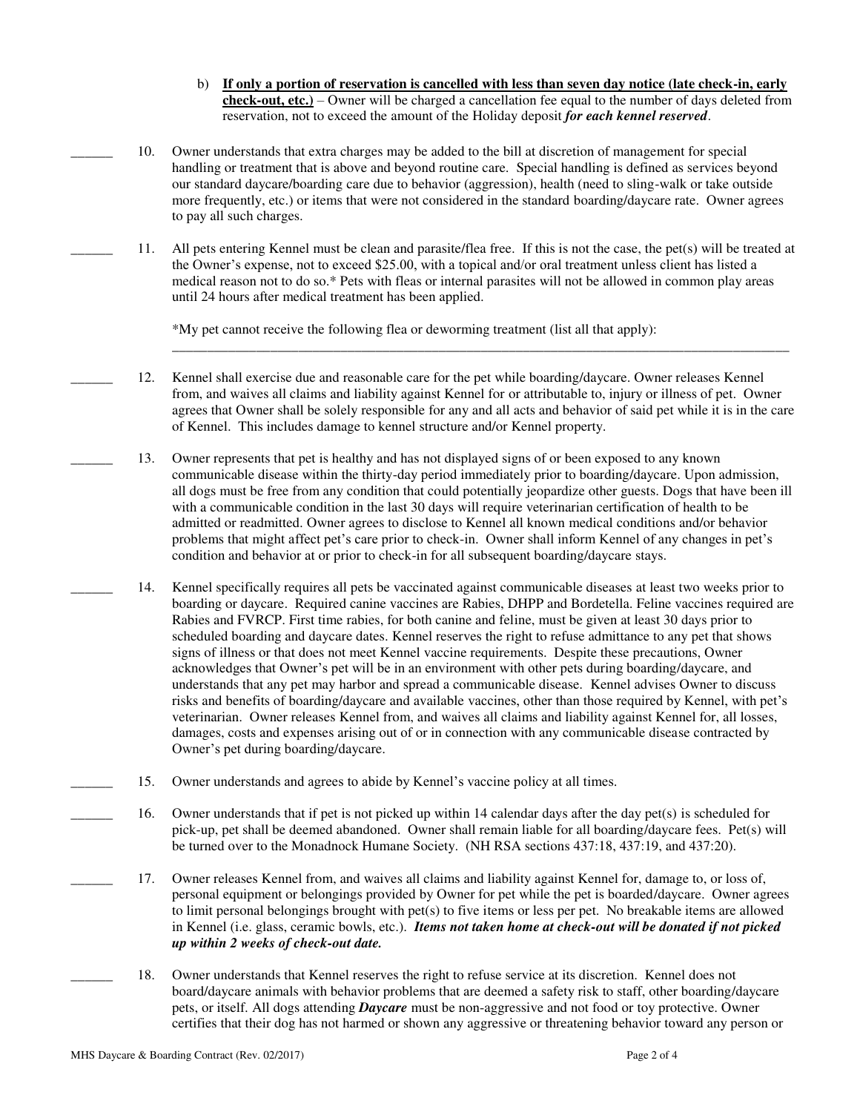- b) **If only a portion of reservation is cancelled with less than seven day notice (late check-in, early check-out, etc.)** – Owner will be charged a cancellation fee equal to the number of days deleted from reservation, not to exceed the amount of the Holiday deposit *for each kennel reserved*.
- \_\_\_\_\_\_ 10. Owner understands that extra charges may be added to the bill at discretion of management for special handling or treatment that is above and beyond routine care. Special handling is defined as services beyond our standard daycare/boarding care due to behavior (aggression), health (need to sling-walk or take outside more frequently, etc.) or items that were not considered in the standard boarding/daycare rate. Owner agrees to pay all such charges.
- \_\_\_\_\_\_ 11. All pets entering Kennel must be clean and parasite/flea free. If this is not the case, the pet(s) will be treated at the Owner's expense, not to exceed \$25.00, with a topical and/or oral treatment unless client has listed a medical reason not to do so.\* Pets with fleas or internal parasites will not be allowed in common play areas until 24 hours after medical treatment has been applied.

\*My pet cannot receive the following flea or deworming treatment (list all that apply):

\_\_\_\_\_\_ 12. Kennel shall exercise due and reasonable care for the pet while boarding/daycare. Owner releases Kennel from, and waives all claims and liability against Kennel for or attributable to, injury or illness of pet. Owner agrees that Owner shall be solely responsible for any and all acts and behavior of said pet while it is in the care of Kennel. This includes damage to kennel structure and/or Kennel property.

\_\_\_\_\_\_\_\_\_\_\_\_\_\_\_\_\_\_\_\_\_\_\_\_\_\_\_\_\_\_\_\_\_\_\_\_\_\_\_\_\_\_\_\_\_\_\_\_\_\_\_\_\_\_\_\_\_\_\_\_\_\_\_\_\_\_\_\_\_\_\_\_\_\_\_\_\_\_\_\_\_\_\_\_\_\_\_\_

- \_\_\_\_\_\_ 13. Owner represents that pet is healthy and has not displayed signs of or been exposed to any known communicable disease within the thirty-day period immediately prior to boarding/daycare. Upon admission, all dogs must be free from any condition that could potentially jeopardize other guests. Dogs that have been ill with a communicable condition in the last 30 days will require veterinarian certification of health to be admitted or readmitted. Owner agrees to disclose to Kennel all known medical conditions and/or behavior problems that might affect pet's care prior to check-in. Owner shall inform Kennel of any changes in pet's condition and behavior at or prior to check-in for all subsequent boarding/daycare stays.
- \_\_\_\_\_\_ 14. Kennel specifically requires all pets be vaccinated against communicable diseases at least two weeks prior to boarding or daycare. Required canine vaccines are Rabies, DHPP and Bordetella. Feline vaccines required are Rabies and FVRCP. First time rabies, for both canine and feline, must be given at least 30 days prior to scheduled boarding and daycare dates. Kennel reserves the right to refuse admittance to any pet that shows signs of illness or that does not meet Kennel vaccine requirements. Despite these precautions, Owner acknowledges that Owner's pet will be in an environment with other pets during boarding/daycare, and understands that any pet may harbor and spread a communicable disease. Kennel advises Owner to discuss risks and benefits of boarding/daycare and available vaccines, other than those required by Kennel, with pet's veterinarian. Owner releases Kennel from, and waives all claims and liability against Kennel for, all losses, damages, costs and expenses arising out of or in connection with any communicable disease contracted by Owner's pet during boarding/daycare.
- 15. Owner understands and agrees to abide by Kennel's vaccine policy at all times.
	- \_\_\_\_\_\_ 16. Owner understands that if pet is not picked up within 14 calendar days after the day pet(s) is scheduled for pick-up, pet shall be deemed abandoned. Owner shall remain liable for all boarding/daycare fees. Pet(s) will be turned over to the Monadnock Humane Society. (NH RSA sections 437:18, 437:19, and 437:20).
	- 17. Owner releases Kennel from, and waives all claims and liability against Kennel for, damage to, or loss of, personal equipment or belongings provided by Owner for pet while the pet is boarded/daycare. Owner agrees to limit personal belongings brought with pet(s) to five items or less per pet. No breakable items are allowed in Kennel (i.e. glass, ceramic bowls, etc.). *Items not taken home at check-out will be donated if not picked up within 2 weeks of check-out date.*
	- \_\_\_\_\_\_ 18. Owner understands that Kennel reserves the right to refuse service at its discretion. Kennel does not board/daycare animals with behavior problems that are deemed a safety risk to staff, other boarding/daycare pets, or itself. All dogs attending *Daycare* must be non-aggressive and not food or toy protective. Owner certifies that their dog has not harmed or shown any aggressive or threatening behavior toward any person or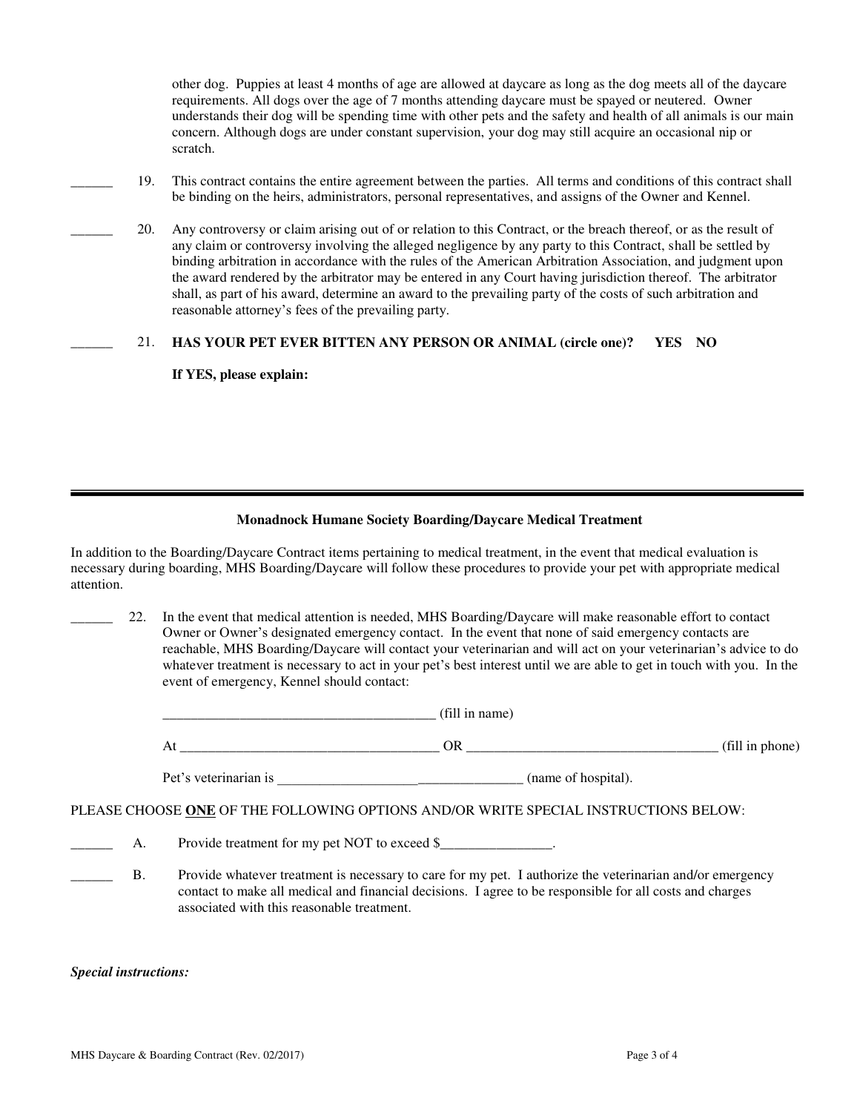other dog. Puppies at least 4 months of age are allowed at daycare as long as the dog meets all of the daycare requirements. All dogs over the age of 7 months attending daycare must be spayed or neutered. Owner understands their dog will be spending time with other pets and the safety and health of all animals is our main concern. Although dogs are under constant supervision, your dog may still acquire an occasional nip or scratch.

- \_\_\_\_\_\_ 19. This contract contains the entire agreement between the parties. All terms and conditions of this contract shall be binding on the heirs, administrators, personal representatives, and assigns of the Owner and Kennel.
- \_\_\_\_\_\_ 20. Any controversy or claim arising out of or relation to this Contract, or the breach thereof, or as the result of any claim or controversy involving the alleged negligence by any party to this Contract, shall be settled by binding arbitration in accordance with the rules of the American Arbitration Association, and judgment upon the award rendered by the arbitrator may be entered in any Court having jurisdiction thereof. The arbitrator shall, as part of his award, determine an award to the prevailing party of the costs of such arbitration and reasonable attorney's fees of the prevailing party.

## \_\_\_\_\_\_ 21. **HAS YOUR PET EVER BITTEN ANY PERSON OR ANIMAL (circle one)? YES NO**

**If YES, please explain:** 

### **Monadnock Humane Society Boarding/Daycare Medical Treatment**

In addition to the Boarding/Daycare Contract items pertaining to medical treatment, in the event that medical evaluation is necessary during boarding, MHS Boarding/Daycare will follow these procedures to provide your pet with appropriate medical attention.

22. In the event that medical attention is needed, MHS Boarding/Daycare will make reasonable effort to contact Owner or Owner's designated emergency contact. In the event that none of said emergency contacts are reachable, MHS Boarding/Daycare will contact your veterinarian and will act on your veterinarian's advice to do whatever treatment is necessary to act in your pet's best interest until we are able to get in touch with you. In the event of emergency, Kennel should contact:

|                                     | 10.11<br><br>_____                                    |                                                                   |
|-------------------------------------|-------------------------------------------------------|-------------------------------------------------------------------|
| At<br>_____________________________ | UN<br>_______________<br>___________<br>____<br>_____ | $\mathbf{C}$<br>THIT III PHUIN<br>___________<br>______<br>______ |

Pet's veterinarian is  $(\text{name of hospital}).$ 

PLEASE CHOOSE **ONE** OF THE FOLLOWING OPTIONS AND/OR WRITE SPECIAL INSTRUCTIONS BELOW:

A. Provide treatment for my pet NOT to exceed \$

B. Provide whatever treatment is necessary to care for my pet. I authorize the veterinarian and/or emergency contact to make all medical and financial decisions. I agree to be responsible for all costs and charges associated with this reasonable treatment.

*Special instructions:*